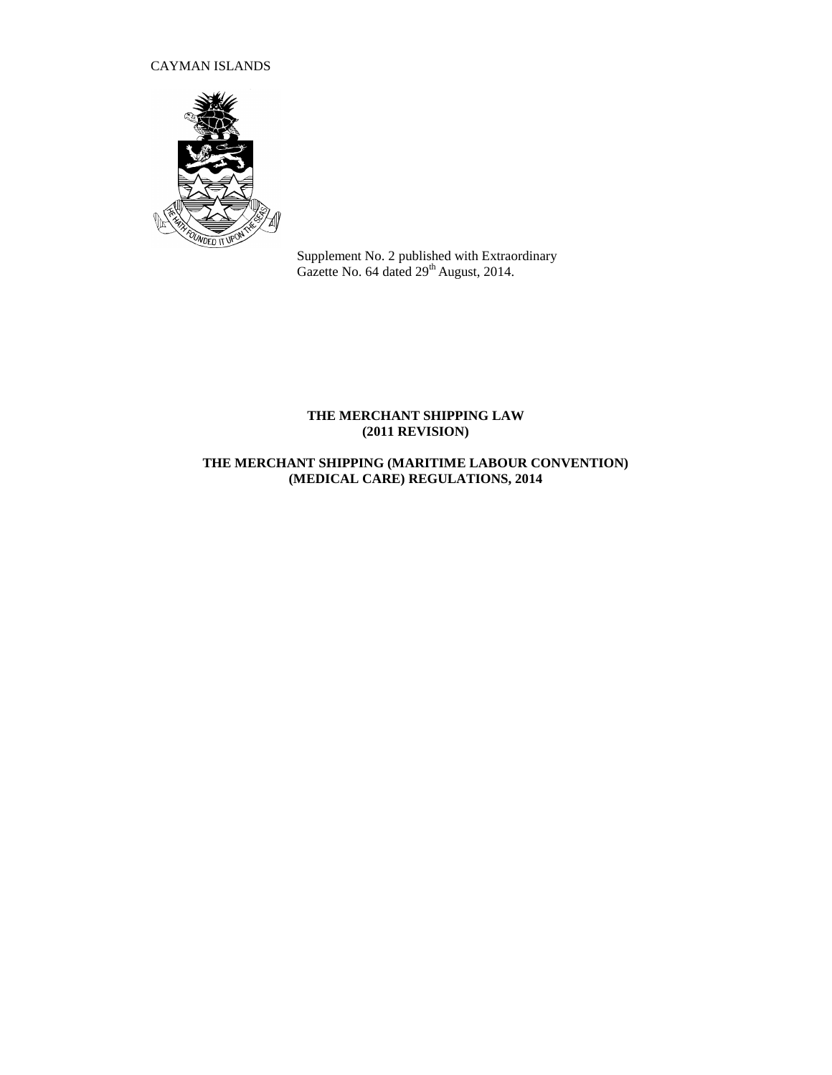# CAYMAN ISLANDS



Supplement No. 2 published with Extraordinary Gazette No.  $64$  dated  $29<sup>th</sup>$  August, 2014.

## **THE MERCHANT SHIPPING LAW (2011 REVISION)**

# **THE MERCHANT SHIPPING (MARITIME LABOUR CONVENTION) (MEDICAL CARE) REGULATIONS, 2014**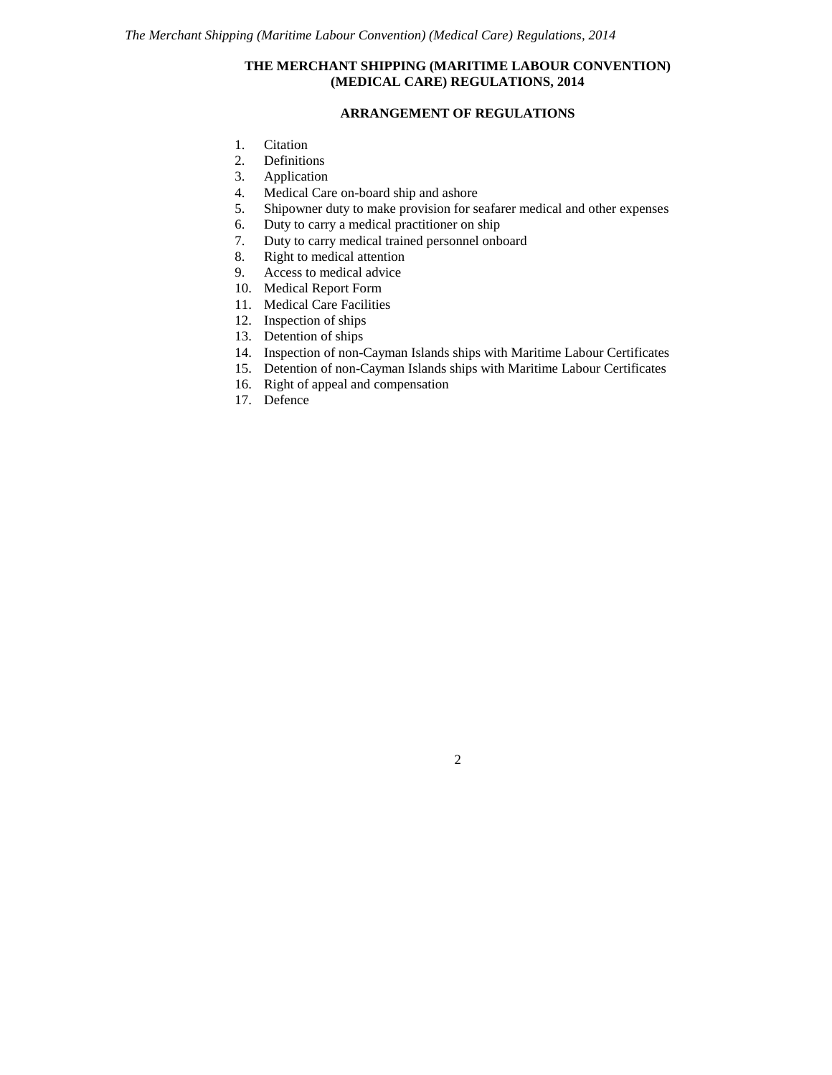## **THE MERCHANT SHIPPING (MARITIME LABOUR CONVENTION) (MEDICAL CARE) REGULATIONS, 2014**

## **ARRANGEMENT OF REGULATIONS**

- 1. Citation
- 2. Definitions<br>3. Application
- **Application**
- 4. Medical Care on-board ship and ashore
- 5. Shipowner duty to make provision for seafarer medical and other expenses
- 6. Duty to carry a medical practitioner on ship
- 7. Duty to carry medical trained personnel onboard
- 8. Right to medical attention
- 9. Access to medical advice
- 10. Medical Report Form
- 11. Medical Care Facilities
- 12. Inspection of ships
- 13. Detention of ships
- 14. Inspection of non-Cayman Islands ships with Maritime Labour Certificates
- 15. Detention of non-Cayman Islands ships with Maritime Labour Certificates
- 16. Right of appeal and compensation
- 17. Defence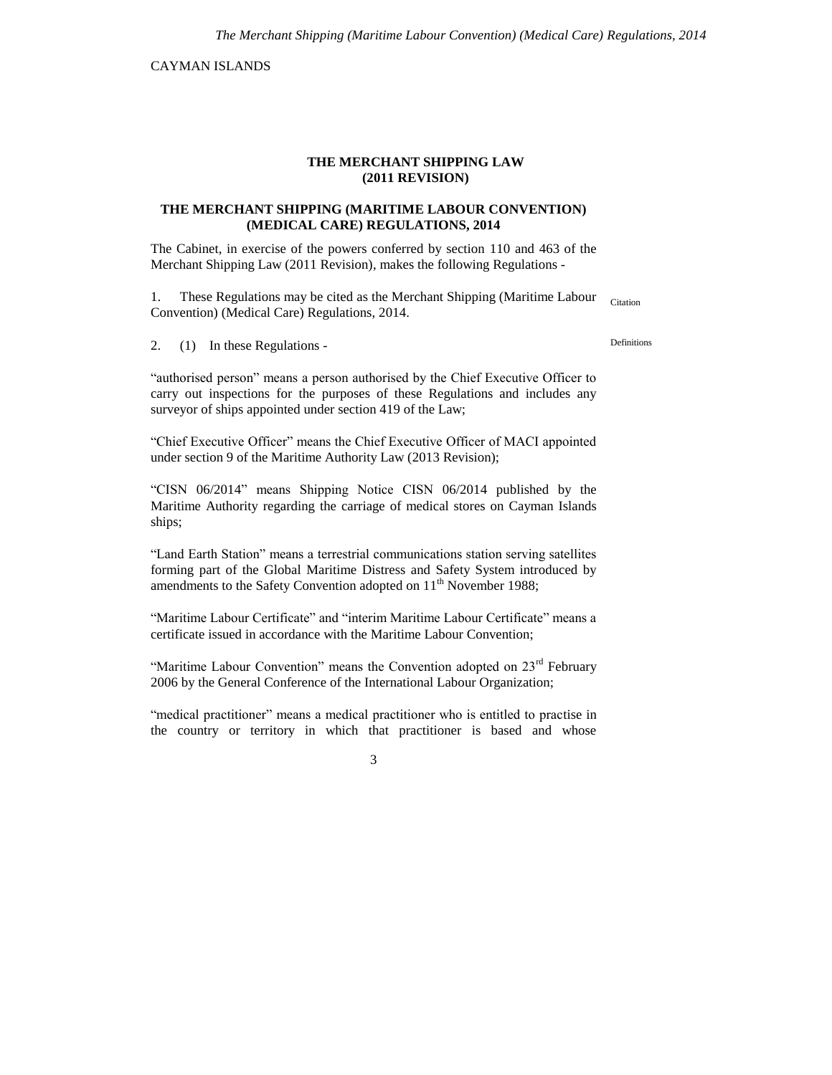CAYMAN ISLANDS

#### **THE MERCHANT SHIPPING LAW (2011 REVISION)**

#### **THE MERCHANT SHIPPING (MARITIME LABOUR CONVENTION) (MEDICAL CARE) REGULATIONS, 2014**

The Cabinet, in exercise of the powers conferred by section 110 and 463 of the Merchant Shipping Law (2011 Revision), makes the following Regulations -

1. These Regulations may be cited as the Merchant Shipping (Maritime Labour Convention) (Medical Care) Regulations, 2014. Citation

2. (1) In these Regulations -

"authorised person" means a person authorised by the Chief Executive Officer to carry out inspections for the purposes of these Regulations and includes any surveyor of ships appointed under section 419 of the Law;

"Chief Executive Officer" means the Chief Executive Officer of MACI appointed under section 9 of the Maritime Authority Law (2013 Revision);

"CISN 06/2014" means Shipping Notice CISN 06/2014 published by the Maritime Authority regarding the carriage of medical stores on Cayman Islands ships;

"Land Earth Station" means a terrestrial communications station serving satellites forming part of the Global Maritime Distress and Safety System introduced by amendments to the Safety Convention adopted on  $11<sup>th</sup>$  November 1988;

"Maritime Labour Certificate" and "interim Maritime Labour Certificate" means a certificate issued in accordance with the Maritime Labour Convention;

"Maritime Labour Convention" means the Convention adopted on 23<sup>rd</sup> February 2006 by the General Conference of the International Labour Organization;

"medical practitioner" means a medical practitioner who is entitled to practise in the country or territory in which that practitioner is based and whose

3

Definitions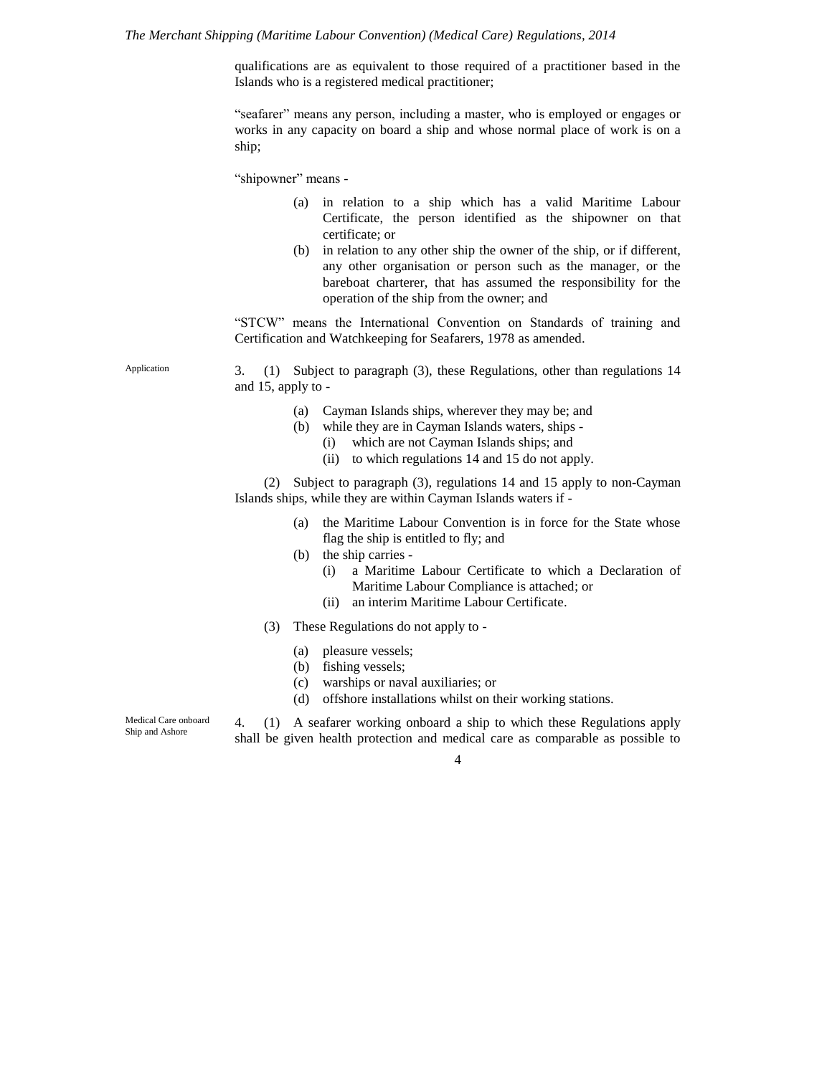*The Merchant Shipping (Maritime Labour Convention) (Medical Care) Regulations, 2014*

qualifications are as equivalent to those required of a practitioner based in the Islands who is a registered medical practitioner;

"seafarer" means any person, including a master, who is employed or engages or works in any capacity on board a ship and whose normal place of work is on a ship;

"shipowner" means -

- (a) in relation to a ship which has a valid Maritime Labour Certificate, the person identified as the shipowner on that certificate; or
- (b) in relation to any other ship the owner of the ship, or if different, any other organisation or person such as the manager, or the bareboat charterer, that has assumed the responsibility for the operation of the ship from the owner; and

"STCW" means the International Convention on Standards of training and Certification and Watchkeeping for Seafarers, 1978 as amended.

Application

3. (1) Subject to paragraph (3), these Regulations, other than regulations 14 and 15, apply to -

- (a) Cayman Islands ships, wherever they may be; and
- (b) while they are in Cayman Islands waters, ships
	- (i) which are not Cayman Islands ships; and
	- (ii) to which regulations 14 and 15 do not apply.

(2) Subject to paragraph (3), regulations 14 and 15 apply to non-Cayman Islands ships, while they are within Cayman Islands waters if -

- (a) the Maritime Labour Convention is in force for the State whose flag the ship is entitled to fly; and
- (b) the ship carries
	- (i) a Maritime Labour Certificate to which a Declaration of Maritime Labour Compliance is attached; or
	- (ii) an interim Maritime Labour Certificate.
- (3) These Regulations do not apply to
	- (a) pleasure vessels;
	- (b) fishing vessels;
	- (c) warships or naval auxiliaries; or
	- (d) offshore installations whilst on their working stations.

Medical Care onboard Ship and Ashore

4. (1) A seafarer working onboard a ship to which these Regulations apply shall be given health protection and medical care as comparable as possible to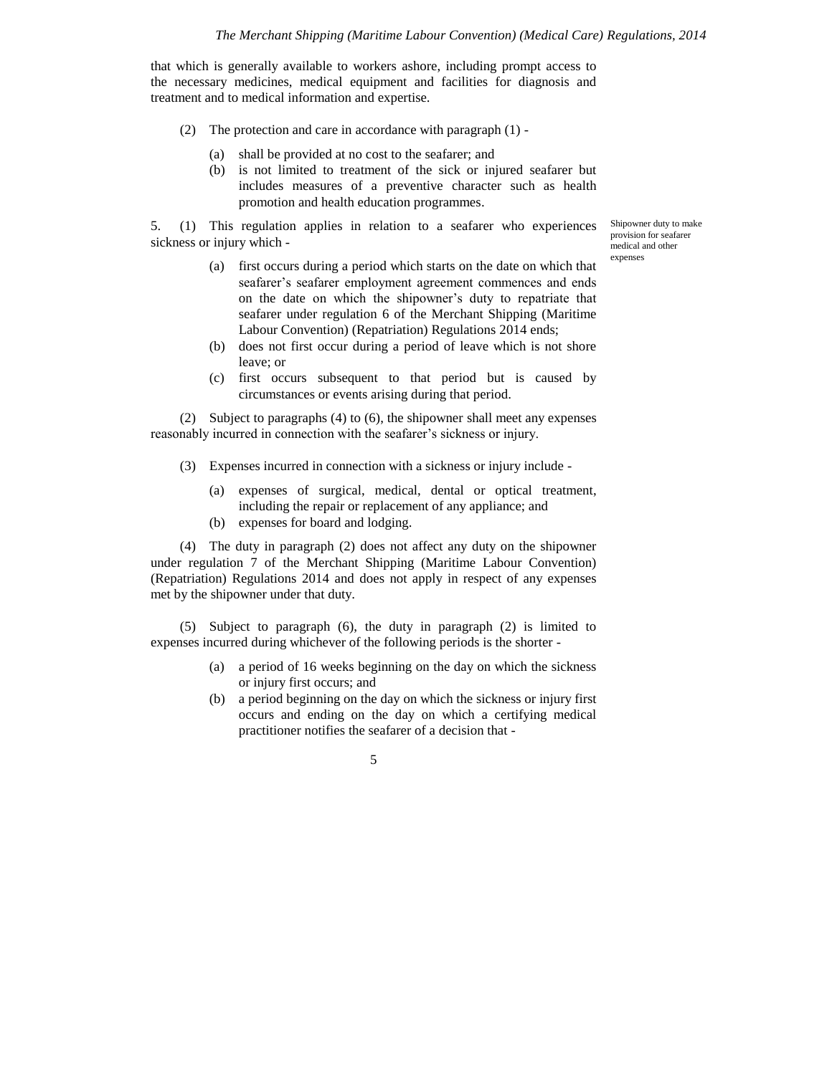that which is generally available to workers ashore, including prompt access to the necessary medicines, medical equipment and facilities for diagnosis and treatment and to medical information and expertise.

- (2) The protection and care in accordance with paragraph (1)
	- (a) shall be provided at no cost to the seafarer; and
	- (b) is not limited to treatment of the sick or injured seafarer but includes measures of a preventive character such as health promotion and health education programmes.

5. (1) This regulation applies in relation to a seafarer who experiences sickness or injury which -

Shipowner duty to make provision for seafarer medical and other expenses

- (a) first occurs during a period which starts on the date on which that seafarer's seafarer employment agreement commences and ends on the date on which the shipowner's duty to repatriate that seafarer under regulation 6 of the Merchant Shipping (Maritime Labour Convention) (Repatriation) Regulations 2014 ends;
- (b) does not first occur during a period of leave which is not shore leave; or
- (c) first occurs subsequent to that period but is caused by circumstances or events arising during that period.

(2) Subject to paragraphs (4) to (6), the shipowner shall meet any expenses reasonably incurred in connection with the seafarer's sickness or injury.

- (3) Expenses incurred in connection with a sickness or injury include
	- (a) expenses of surgical, medical, dental or optical treatment, including the repair or replacement of any appliance; and
	- (b) expenses for board and lodging.

(4) The duty in paragraph (2) does not affect any duty on the shipowner under regulation 7 of the Merchant Shipping (Maritime Labour Convention) (Repatriation) Regulations 2014 and does not apply in respect of any expenses met by the shipowner under that duty.

(5) Subject to paragraph (6), the duty in paragraph (2) is limited to expenses incurred during whichever of the following periods is the shorter -

- (a) a period of 16 weeks beginning on the day on which the sickness or injury first occurs; and
- (b) a period beginning on the day on which the sickness or injury first occurs and ending on the day on which a certifying medical practitioner notifies the seafarer of a decision that -

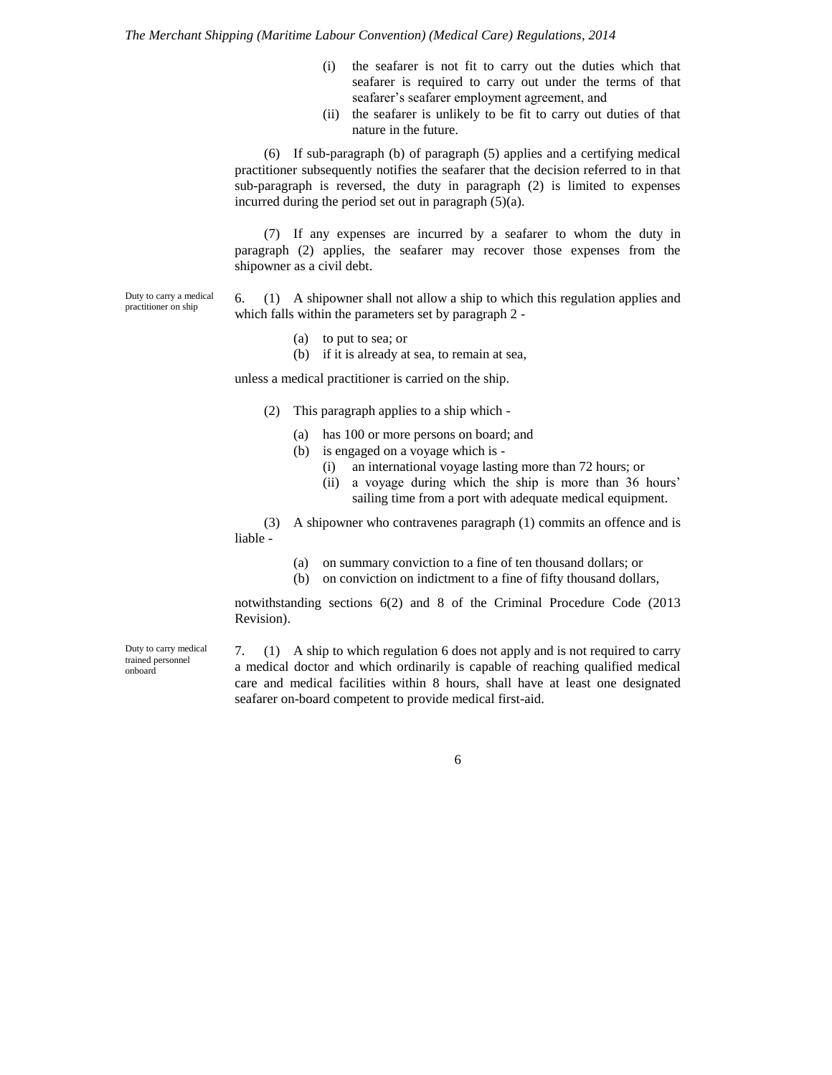- (i) the seafarer is not fit to carry out the duties which that seafarer is required to carry out under the terms of that seafarer's seafarer employment agreement, and
- (ii) the seafarer is unlikely to be fit to carry out duties of that nature in the future.

(6) If sub-paragraph (b) of paragraph (5) applies and a certifying medical practitioner subsequently notifies the seafarer that the decision referred to in that sub-paragraph is reversed, the duty in paragraph (2) is limited to expenses incurred during the period set out in paragraph (5)(a).

(7) If any expenses are incurred by a seafarer to whom the duty in paragraph (2) applies, the seafarer may recover those expenses from the shipowner as a civil debt.

6. (1) A shipowner shall not allow a ship to which this regulation applies and which falls within the parameters set by paragraph 2 - Duty to carry a medical

- (a) to put to sea; or
- (b) if it is already at sea, to remain at sea,

unless a medical practitioner is carried on the ship.

- (2) This paragraph applies to a ship which
	- (a) has 100 or more persons on board; and
	- (b) is engaged on a voyage which is
		- (i) an international voyage lasting more than 72 hours; or
		- (ii) a voyage during which the ship is more than 36 hours' sailing time from a port with adequate medical equipment.

(3) A shipowner who contravenes paragraph (1) commits an offence and is liable -

- (a) on summary conviction to a fine of ten thousand dollars; or
- (b) on conviction on indictment to a fine of fifty thousand dollars,

notwithstanding sections 6(2) and 8 of the Criminal Procedure Code (2013 Revision).

Duty to carry medical trained personnel onboard

practitioner on ship

7. (1) A ship to which regulation 6 does not apply and is not required to carry a medical doctor and which ordinarily is capable of reaching qualified medical care and medical facilities within 8 hours, shall have at least one designated seafarer on-board competent to provide medical first-aid.

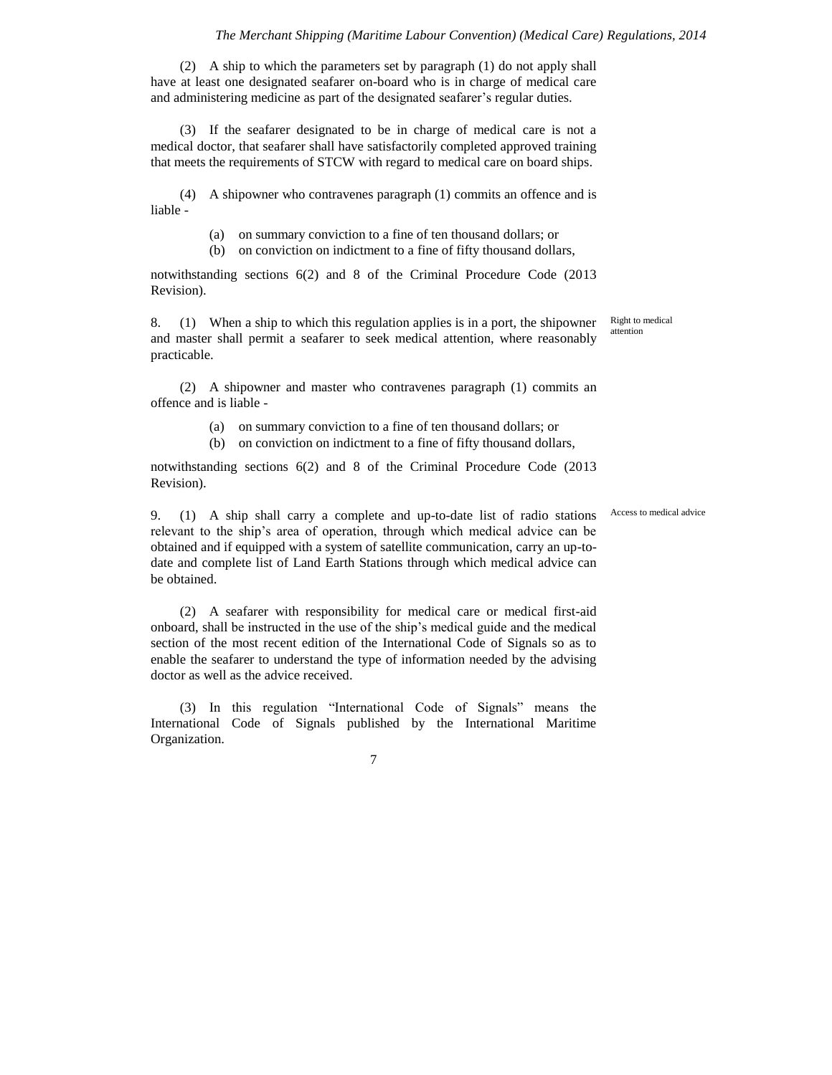(2) A ship to which the parameters set by paragraph (1) do not apply shall have at least one designated seafarer on-board who is in charge of medical care and administering medicine as part of the designated seafarer's regular duties.

(3) If the seafarer designated to be in charge of medical care is not a medical doctor, that seafarer shall have satisfactorily completed approved training that meets the requirements of STCW with regard to medical care on board ships.

(4) A shipowner who contravenes paragraph (1) commits an offence and is liable -

(a) on summary conviction to a fine of ten thousand dollars; or

(b) on conviction on indictment to a fine of fifty thousand dollars,

notwithstanding sections 6(2) and 8 of the Criminal Procedure Code (2013 Revision).

8. (1) When a ship to which this regulation applies is in a port, the shipowner and master shall permit a seafarer to seek medical attention, where reasonably practicable.

(2) A shipowner and master who contravenes paragraph (1) commits an offence and is liable -

(a) on summary conviction to a fine of ten thousand dollars; or

(b) on conviction on indictment to a fine of fifty thousand dollars,

notwithstanding sections 6(2) and 8 of the Criminal Procedure Code (2013 Revision).

9. (1) A ship shall carry a complete and up-to-date list of radio stations relevant to the ship's area of operation, through which medical advice can be obtained and if equipped with a system of satellite communication, carry an up-todate and complete list of Land Earth Stations through which medical advice can be obtained.

(2) A seafarer with responsibility for medical care or medical first-aid onboard, shall be instructed in the use of the ship's medical guide and the medical section of the most recent edition of the International Code of Signals so as to enable the seafarer to understand the type of information needed by the advising doctor as well as the advice received.

(3) In this regulation "International Code of Signals" means the International Code of Signals published by the International Maritime Organization.

7

Access to medical advice

Right to medical attention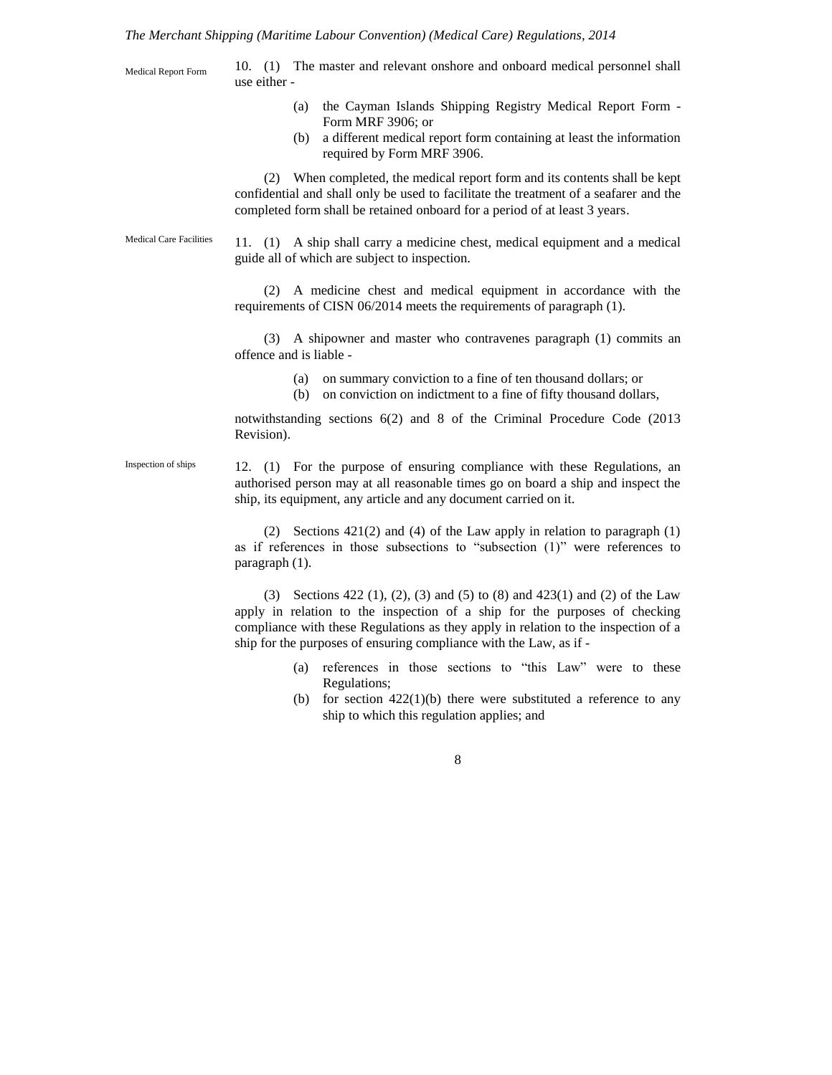*The Merchant Shipping (Maritime Labour Convention) (Medical Care) Regulations, 2014*

10. (1) The master and relevant onshore and onboard medical personnel shall use either - (a) the Cayman Islands Shipping Registry Medical Report Form - Form MRF 3906; or (b) a different medical report form containing at least the information required by Form MRF 3906. (2) When completed, the medical report form and its contents shall be kept confidential and shall only be used to facilitate the treatment of a seafarer and the completed form shall be retained onboard for a period of at least 3 years. 11. (1) A ship shall carry a medicine chest, medical equipment and a medical guide all of which are subject to inspection. (2) A medicine chest and medical equipment in accordance with the requirements of CISN 06/2014 meets the requirements of paragraph (1). (3) A shipowner and master who contravenes paragraph (1) commits an offence and is liable - (a) on summary conviction to a fine of ten thousand dollars; or (b) on conviction on indictment to a fine of fifty thousand dollars, notwithstanding sections 6(2) and 8 of the Criminal Procedure Code (2013 Revision). 12. (1) For the purpose of ensuring compliance with these Regulations, an authorised person may at all reasonable times go on board a ship and inspect the ship, its equipment, any article and any document carried on it. (2) Sections 421(2) and (4) of the Law apply in relation to paragraph (1) as if references in those subsections to "subsection (1)" were references to paragraph (1). (3) Sections 422 (1), (2), (3) and (5) to (8) and 423(1) and (2) of the Law apply in relation to the inspection of a ship for the purposes of checking compliance with these Regulations as they apply in relation to the inspection of a ship for the purposes of ensuring compliance with the Law, as if - (a) references in those sections to "this Law" were to these Regulations; (b) for section  $422(1)(b)$  there were substituted a reference to any ship to which this regulation applies; and Medical Report Form Medical Care Facilities Inspection of ships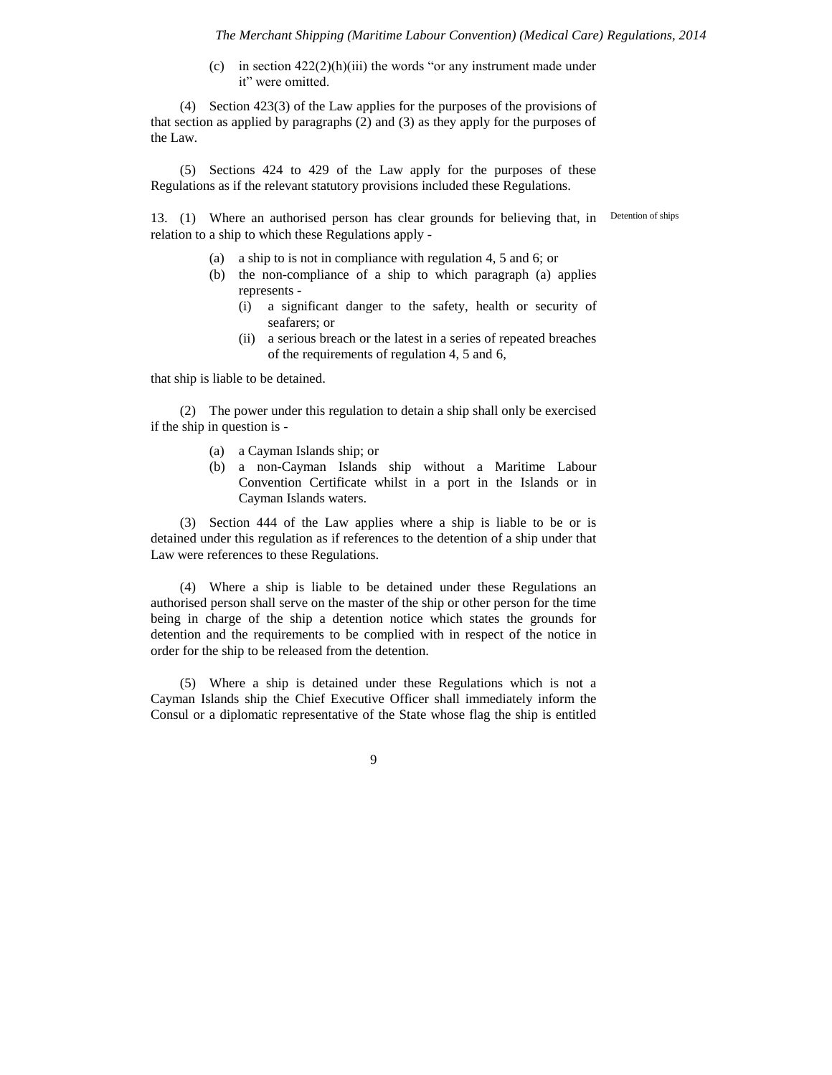(c) in section  $422(2)(h)(iii)$  the words "or any instrument made under it" were omitted.

(4) Section 423(3) of the Law applies for the purposes of the provisions of that section as applied by paragraphs (2) and (3) as they apply for the purposes of the Law.

(5) Sections 424 to 429 of the Law apply for the purposes of these Regulations as if the relevant statutory provisions included these Regulations.

13. (1) Where an authorised person has clear grounds for believing that, in relation to a ship to which these Regulations apply -

Detention of ships

- (a) a ship to is not in compliance with regulation 4, 5 and 6; or
- (b) the non-compliance of a ship to which paragraph (a) applies represents -
	- (i) a significant danger to the safety, health or security of seafarers; or
	- (ii) a serious breach or the latest in a series of repeated breaches of the requirements of regulation 4, 5 and 6,

that ship is liable to be detained.

(2) The power under this regulation to detain a ship shall only be exercised if the ship in question is -

- (a) a Cayman Islands ship; or
- (b) a non-Cayman Islands ship without a Maritime Labour Convention Certificate whilst in a port in the Islands or in Cayman Islands waters.

(3) Section 444 of the Law applies where a ship is liable to be or is detained under this regulation as if references to the detention of a ship under that Law were references to these Regulations.

(4) Where a ship is liable to be detained under these Regulations an authorised person shall serve on the master of the ship or other person for the time being in charge of the ship a detention notice which states the grounds for detention and the requirements to be complied with in respect of the notice in order for the ship to be released from the detention.

(5) Where a ship is detained under these Regulations which is not a Cayman Islands ship the Chief Executive Officer shall immediately inform the Consul or a diplomatic representative of the State whose flag the ship is entitled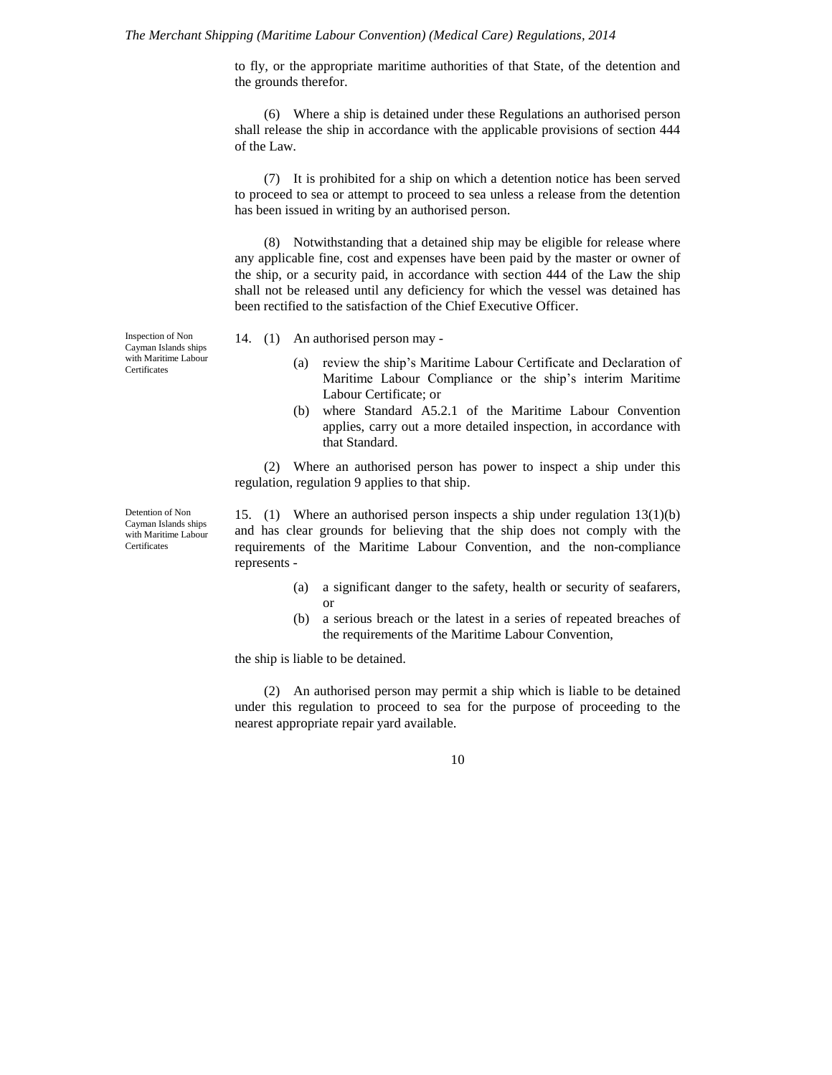#### *The Merchant Shipping (Maritime Labour Convention) (Medical Care) Regulations, 2014*

to fly, or the appropriate maritime authorities of that State, of the detention and the grounds therefor.

(6) Where a ship is detained under these Regulations an authorised person shall release the ship in accordance with the applicable provisions of section 444 of the Law.

(7) It is prohibited for a ship on which a detention notice has been served to proceed to sea or attempt to proceed to sea unless a release from the detention has been issued in writing by an authorised person.

(8) Notwithstanding that a detained ship may be eligible for release where any applicable fine, cost and expenses have been paid by the master or owner of the ship, or a security paid, in accordance with section 444 of the Law the ship shall not be released until any deficiency for which the vessel was detained has been rectified to the satisfaction of the Chief Executive Officer.

Inspection of Non Cayman Islands ships with Maritime Labour **Certificates** 

Detention of Non Cayman Islands ships with Maritime Labour **Certificates** 

- 14. (1) An authorised person may
	- (a) review the ship's Maritime Labour Certificate and Declaration of Maritime Labour Compliance or the ship's interim Maritime Labour Certificate; or
	- (b) where Standard A5.2.1 of the Maritime Labour Convention applies, carry out a more detailed inspection, in accordance with that Standard.

(2) Where an authorised person has power to inspect a ship under this regulation, regulation 9 applies to that ship.

15. (1) Where an authorised person inspects a ship under regulation 13(1)(b) and has clear grounds for believing that the ship does not comply with the requirements of the Maritime Labour Convention, and the non-compliance represents -

- (a) a significant danger to the safety, health or security of seafarers, or
- (b) a serious breach or the latest in a series of repeated breaches of the requirements of the Maritime Labour Convention,

the ship is liable to be detained.

(2) An authorised person may permit a ship which is liable to be detained under this regulation to proceed to sea for the purpose of proceeding to the nearest appropriate repair yard available.